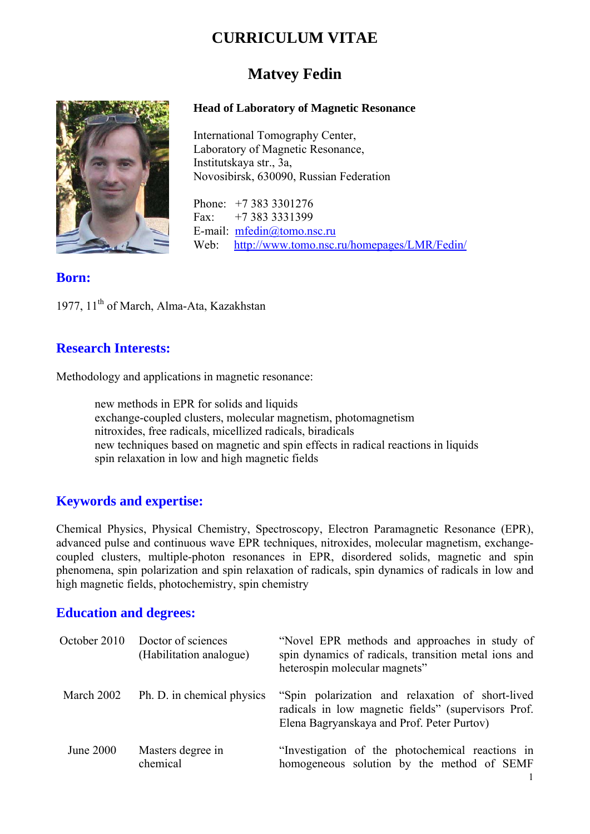# **CURRICULUM VITAE**

# **Matvey Fedin**

#### **Head of Laboratory of Magnetic Resonance**

International Tomography Center, Laboratory of Magnetic Resonance, Institutskaya str., 3a, Novosibirsk, 630090, Russian Federation

Phone: +7 383 3301276 Fax: +7 383 3331399 E-mail: mfedin@tomo.nsc.ru Web: http://www.tomo.nsc.ru/homepages/LMR/Fedin/

## **Born:**

1977, 11<sup>th</sup> of March, Alma-Ata, Kazakhstan

### **Research Interests:**

Methodology and applications in magnetic resonance:

new methods in EPR for solids and liquids exchange-coupled clusters, molecular magnetism, photomagnetism nitroxides, free radicals, micellized radicals, biradicals new techniques based on magnetic and spin effects in radical reactions in liquids spin relaxation in low and high magnetic fields

## **Keywords and expertise:**

Chemical Physics, Physical Chemistry, Spectroscopy, Electron Paramagnetic Resonance (EPR), advanced pulse and continuous wave EPR techniques, nitroxides, molecular magnetism, exchangecoupled clusters, multiple-photon resonances in EPR, disordered solids, magnetic and spin phenomena, spin polarization and spin relaxation of radicals, spin dynamics of radicals in low and high magnetic fields, photochemistry, spin chemistry

### **Education and degrees:**

| October 2010     | Doctor of sciences<br>(Habilitation analogue) | "Novel EPR methods and approaches in study of<br>spin dynamics of radicals, transition metal ions and<br>heterospin molecular magnets"                |
|------------------|-----------------------------------------------|-------------------------------------------------------------------------------------------------------------------------------------------------------|
| March 2002       | Ph. D. in chemical physics                    | "Spin polarization and relaxation of short-lived<br>radicals in low magnetic fields" (supervisors Prof.<br>Elena Bagryanskaya and Prof. Peter Purtov) |
| <b>June 2000</b> | Masters degree in<br>chemical                 | "Investigation of the photochemical reactions in<br>homogeneous solution by the method of SEMF                                                        |

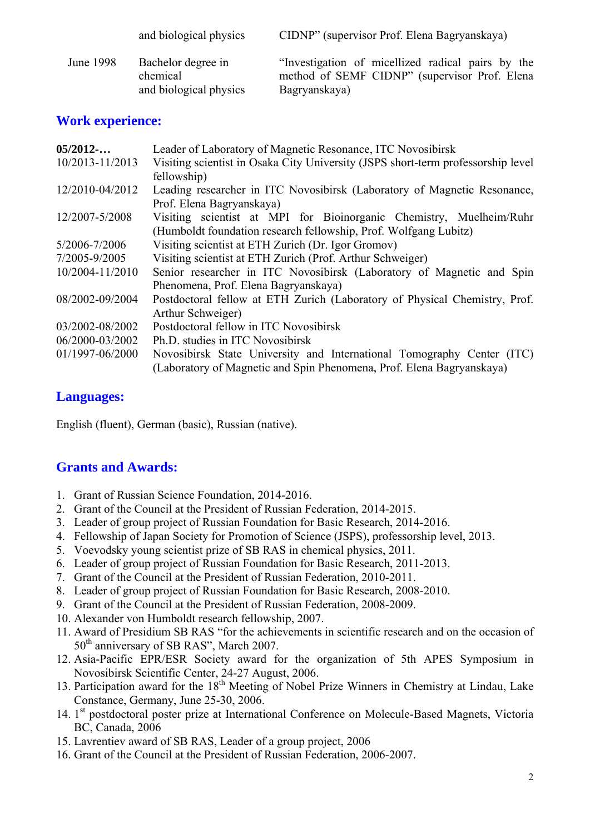|           | and biological physics         | CIDNP" (supervisor Prof. Elena Bagryanskaya)                                                       |
|-----------|--------------------------------|----------------------------------------------------------------------------------------------------|
| June 1998 | Bachelor degree in<br>chemical | "Investigation of micellized radical pairs by the<br>method of SEMF CIDNP" (supervisor Prof. Elena |
|           | and biological physics         | Bagryanskaya)                                                                                      |

## **Work experience:**

| 05/2012         | Leader of Laboratory of Magnetic Resonance, ITC Novosibirsk                      |
|-----------------|----------------------------------------------------------------------------------|
| 10/2013-11/2013 | Visiting scientist in Osaka City University (JSPS short-term professorship level |
|                 | fellowship)                                                                      |
| 12/2010-04/2012 | Leading researcher in ITC Novosibirsk (Laboratory of Magnetic Resonance,         |
|                 | Prof. Elena Bagryanskaya)                                                        |
| 12/2007-5/2008  | Visiting scientist at MPI for Bioinorganic Chemistry, Muelheim/Ruhr              |
|                 | (Humboldt foundation research fellowship, Prof. Wolfgang Lubitz)                 |
| 5/2006-7/2006   | Visiting scientist at ETH Zurich (Dr. Igor Gromov)                               |
| 7/2005-9/2005   | Visiting scientist at ETH Zurich (Prof. Arthur Schweiger)                        |
| 10/2004-11/2010 | Senior researcher in ITC Novosibirsk (Laboratory of Magnetic and Spin            |
|                 | Phenomena, Prof. Elena Bagryanskaya)                                             |
| 08/2002-09/2004 | Postdoctoral fellow at ETH Zurich (Laboratory of Physical Chemistry, Prof.       |
|                 | Arthur Schweiger)                                                                |
| 03/2002-08/2002 | Postdoctoral fellow in ITC Novosibirsk                                           |
| 06/2000-03/2002 | Ph.D. studies in ITC Novosibirsk                                                 |
| 01/1997-06/2000 | Novosibirsk State University and International Tomography Center (ITC)           |
|                 | (Laboratory of Magnetic and Spin Phenomena, Prof. Elena Bagryanskaya)            |

## **Languages:**

English (fluent), German (basic), Russian (native).

## **Grants and Awards:**

- 1. Grant of Russian Science Foundation, 2014-2016.
- 2. Grant of the Council at the President of Russian Federation, 2014-2015.
- 3. Leader of group project of Russian Foundation for Basic Research, 2014-2016.
- 4. Fellowship of Japan Society for Promotion of Science (JSPS), professorship level, 2013.
- 5. Voevodsky young scientist prize of SB RAS in chemical physics, 2011.
- 6. Leader of group project of Russian Foundation for Basic Research, 2011-2013.
- 7. Grant of the Council at the President of Russian Federation, 2010-2011.
- 8. Leader of group project of Russian Foundation for Basic Research, 2008-2010.
- 9. Grant of the Council at the President of Russian Federation, 2008-2009.
- 10. Alexander von Humboldt research fellowship, 2007.
- 11. Award of Presidium SB RAS "for the achievements in scientific research and on the occasion of 50<sup>th</sup> anniversary of SB RAS", March 2007.
- 12. Asia-Pacific EPR/ESR Society award for the organization of 5th APES Symposium in Novosibirsk Scientific Center, 24-27 August, 2006.
- 13. Participation award for the 18<sup>th</sup> Meeting of Nobel Prize Winners in Chemistry at Lindau, Lake Constance, Germany, June 25-30, 2006.
- 14. 1<sup>st</sup> postdoctoral poster prize at International Conference on Molecule-Based Magnets, Victoria BC, Canada, 2006
- 15. Lavrentiev award of SB RAS, Leader of a group project, 2006
- 16. Grant of the Council at the President of Russian Federation, 2006-2007.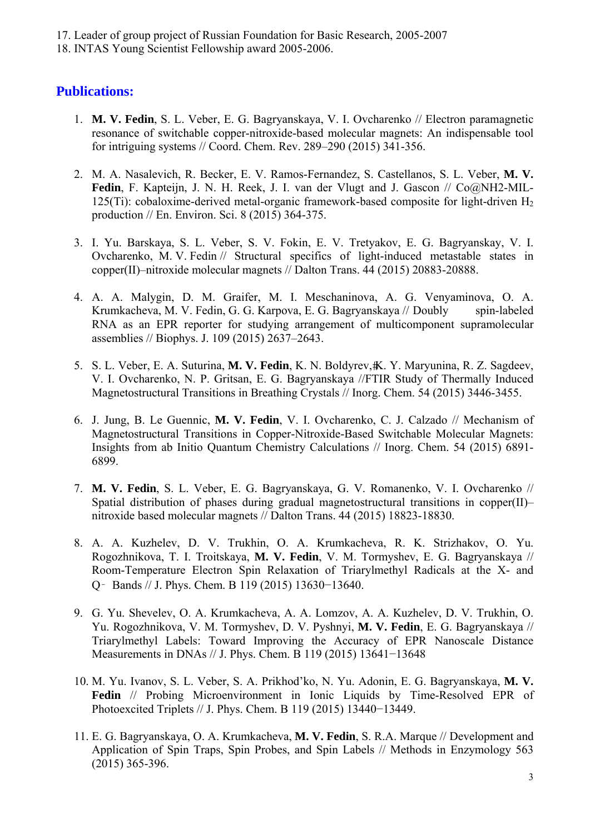17. Leader of group project of Russian Foundation for Basic Research, 2005-2007

18. INTAS Young Scientist Fellowship award 2005-2006.

## **Publications:**

- 1. **M. V. Fedin**, S. L. Veber, E. G. Bagryanskaya, V. I. Ovcharenko // Electron paramagnetic resonance of switchable copper-nitroxide-based molecular magnets: An indispensable tool for intriguing systems // Coord. Chem. Rev. 289–290 (2015) 341-356.
- 2. M. A. Nasalevich, R. Becker, E. V. Ramos-Fernandez, S. Castellanos, S. L. Veber, **M. V.**  Fedin, F. Kapteijn, J. N. H. Reek, J. I. van der Vlugt and J. Gascon // Co@NH2-MIL-125(Ti): cobaloxime-derived metal-organic framework-based composite for light-driven  $H_2$ production // En. Environ. Sci. 8 (2015) 364-375.
- 3. I. Yu. Barskaya, S. L. Veber, S. V. Fokin, E. V. Tretyakov, E. G. Bagryanskay, V. I. Ovcharenko, M. V. Fedin // Structural specifics of light-induced metastable states in copper(II)–nitroxide molecular magnets // Dalton Trans. 44 (2015) 20883-20888.
- 4. A. A. Malygin, D. M. Graifer, M. I. Meschaninova, A. G. Venyaminova, O. A. Krumkacheva, M. V. Fedin, G. G. Karpova, E. G. Bagryanskaya // Doubly spin-labeled RNA as an EPR reporter for studying arrangement of multicomponent supramolecular assemblies // Biophys. J. 109 (2015) 2637–2643.
- 5. S. L. Veber, E. A. Suturina, M. V. Fedin, K. N. Boldyrev, K. Y. Maryunina, R. Z. Sagdeev, V. I. Ovcharenko, N. P. Gritsan, E. G. Bagryanskaya //FTIR Study of Thermally Induced Magnetostructural Transitions in Breathing Crystals // Inorg. Chem. 54 (2015) 3446-3455.
- 6. J. Jung, B. Le Guennic, **M. V. Fedin**, V. I. Ovcharenko, C. J. Calzado // Mechanism of Magnetostructural Transitions in Copper-Nitroxide-Based Switchable Molecular Magnets: Insights from ab Initio Quantum Chemistry Calculations // Inorg. Chem. 54 (2015) 6891- 6899.
- 7. **M. V. Fedin**, S. L. Veber, E. G. Bagryanskaya, G. V. Romanenko, V. I. Ovcharenko // Spatial distribution of phases during gradual magnetostructural transitions in copper(II)– nitroxide based molecular magnets // Dalton Trans. 44 (2015) 18823-18830.
- 8. A. A. Kuzhelev, D. V. Trukhin, O. A. Krumkacheva, R. K. Strizhakov, O. Yu. Rogozhnikova, T. I. Troitskaya, **M. V. Fedin**, V. M. Tormyshev, E. G. Bagryanskaya // Room-Temperature Electron Spin Relaxation of Triarylmethyl Radicals at the X- and Q‑ Bands // J. Phys. Chem. B 119 (2015) 13630−13640.
- 9. G. Yu. Shevelev, O. A. Krumkacheva, A. A. Lomzov, A. A. Kuzhelev, D. V. Trukhin, O. Yu. Rogozhnikova, V. M. Tormyshev, D. V. Pyshnyi, **M. V. Fedin**, E. G. Bagryanskaya // Triarylmethyl Labels: Toward Improving the Accuracy of EPR Nanoscale Distance Measurements in DNAs // J. Phys. Chem. B 119 (2015) 13641−13648
- 10. M. Yu. Ivanov, S. L. Veber, S. A. Prikhod'ko, N. Yu. Adonin, E. G. Bagryanskaya, **M. V. Fedin** // Probing Microenvironment in Ionic Liquids by Time-Resolved EPR of Photoexcited Triplets // J. Phys. Chem. B 119 (2015) 13440−13449.
- 11. E. G. Bagryanskaya, O. A. Krumkacheva, **M. V. Fedin**, S. R.A. Marque // Development and Application of Spin Traps, Spin Probes, and Spin Labels // Methods in Enzymology 563 (2015) 365-396.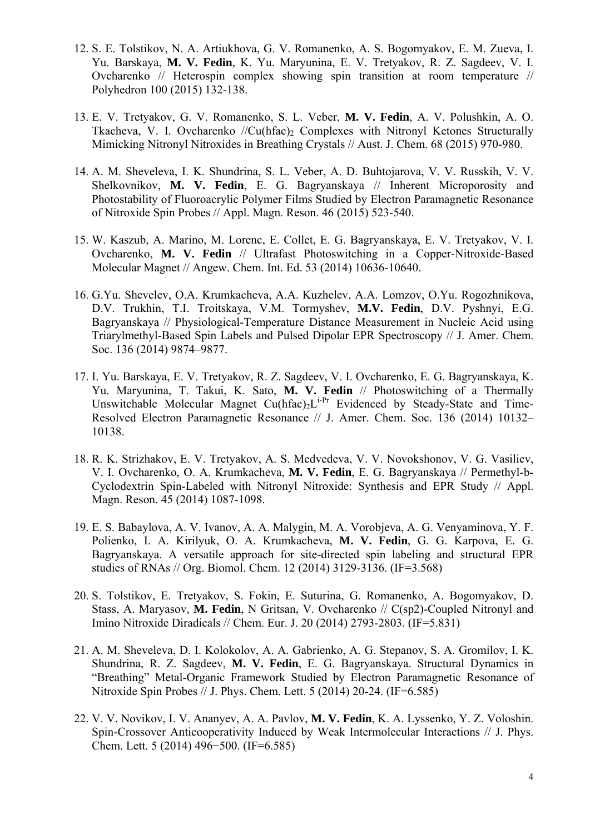- 12. S. E. Tolstikov, N. A. Artiukhova, G. V. Romanenko, A. S. Bogomyakov, E. M. Zueva, I. Yu. Barskaya, **M. V. Fedin**, K. Yu. Maryunina, E. V. Tretyakov, R. Z. Sagdeev, V. I. Ovcharenko // Heterospin complex showing spin transition at room temperature // Polyhedron 100 (2015) 132-138.
- 13. E. V. Tretyakov, G. V. Romanenko, S. L. Veber, **M. V. Fedin**, A. V. Polushkin, A. O. Tkacheva, V. I. Ovcharenko  $\sqrt{C}u$ (hfac)<sub>2</sub> Complexes with Nitronyl Ketones Structurally Mimicking Nitronyl Nitroxides in Breathing Crystals // Aust. J. Chem. 68 (2015) 970-980.
- 14. A. M. Sheveleva, I. K. Shundrina, S. L. Veber, A. D. Buhtojarova, V. V. Russkih, V. V. Shelkovnikov, **M. V. Fedin**, E. G. Bagryanskaya // Inherent Microporosity and Photostability of Fluoroacrylic Polymer Films Studied by Electron Paramagnetic Resonance of Nitroxide Spin Probes // Appl. Magn. Reson. 46 (2015) 523-540.
- 15. W. Kaszub, A. Marino, M. Lorenc, E. Collet, E. G. Bagryanskaya, E. V. Tretyakov, V. I. Ovcharenko, **M. V. Fedin** // Ultrafast Photoswitching in a Copper-Nitroxide-Based Molecular Magnet // Angew. Chem. Int. Ed. 53 (2014) 10636-10640.
- 16. G.Yu. Shevelev, O.A. Krumkacheva, A.A. Kuzhelev, A.A. Lomzov, O.Yu. Rogozhnikova, D.V. Trukhin, T.I. Troitskaya, V.M. Tormyshev, **M.V. Fedin**, D.V. Pyshnyi, E.G. Bagryanskaya // Physiological-Temperature Distance Measurement in Nucleic Acid using Triarylmethyl-Based Spin Labels and Pulsed Dipolar EPR Spectroscopy // J. Amer. Chem. Soc. 136 (2014) 9874–9877.
- 17. I. Yu. Barskaya, E. V. Tretyakov, R. Z. Sagdeev, V. I. Ovcharenko, E. G. Bagryanskaya, K. Yu. Maryunina, T. Takui, K. Sato, **M. V. Fedin** // Photoswitching of a Thermally Unswitchable Molecular Magnet  $Cu(hfac)_{2}L^{i-Pr}$  Evidenced by Steady-State and Time-Resolved Electron Paramagnetic Resonance // J. Amer. Chem. Soc. 136 (2014) 10132– 10138.
- 18. R. K. Strizhakov, E. V. Tretyakov, A. S. Medvedeva, V. V. Novokshonov, V. G. Vasiliev, V. I. Ovcharenko, O. A. Krumkacheva, **M. V. Fedin**, E. G. Bagryanskaya // Permethyl-b-Cyclodextrin Spin-Labeled with Nitronyl Nitroxide: Synthesis and EPR Study // Appl. Magn. Reson. 45 (2014) 1087-1098.
- 19. E. S. Babaylova, A. V. Ivanov, A. A. Malygin, M. A. Vorobjeva, A. G. Venyaminova, Y. F. Polienko, I. A. Kirilyuk, O. A. Krumkacheva, **M. V. Fedin**, G. G. Karpova, E. G. Bagryanskaya. A versatile approach for site-directed spin labeling and structural EPR studies of RNAs // Org. Biomol. Chem. 12 (2014) 3129-3136. (IF=3.568)
- 20. S. Tolstikov, E. Tretyakov, S. Fokin, E. Suturina, G. Romanenko, A. Bogomyakov, D. Stass, A. Maryasov, **M. Fedin**, N Gritsan, V. Ovcharenko // C(sp2)-Coupled Nitronyl and Imino Nitroxide Diradicals // Chem. Eur. J. 20 (2014) 2793-2803. (IF=5.831)
- 21. A. M. Sheveleva, D. I. Kolokolov, A. A. Gabrienko, A. G. Stepanov, S. A. Gromilov, I. K. Shundrina, R. Z. Sagdeev, **M. V. Fedin**, E. G. Bagryanskaya. Structural Dynamics in "Breathing" Metal-Organic Framework Studied by Electron Paramagnetic Resonance of Nitroxide Spin Probes // J. Phys. Chem. Lett. 5 (2014) 20-24. (IF=6.585)
- 22. V. V. Novikov, I. V. Ananyev, A. A. Pavlov, **M. V. Fedin**, K. A. Lyssenko, Y. Z. Voloshin. Spin-Crossover Anticooperativity Induced by Weak Intermolecular Interactions // J. Phys. Chem. Lett. 5 (2014) 496−500. (IF=6.585)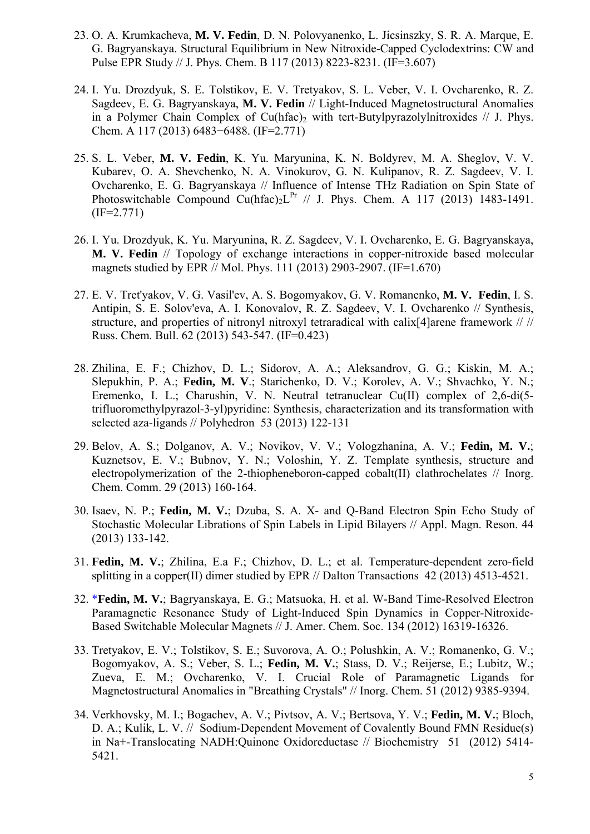- 23. O. A. Krumkacheva, **M. V. Fedin**, D. N. Polovyanenko, L. Jicsinszky, S. R. A. Marque, E. G. Bagryanskaya. Structural Equilibrium in New Nitroxide-Capped Cyclodextrins: CW and Pulse EPR Study // J. Phys. Chem. B 117 (2013) 8223-8231. (IF=3.607)
- 24. I. Yu. Drozdyuk, S. E. Tolstikov, E. V. Tretyakov, S. L. Veber, V. I. Ovcharenko, R. Z. Sagdeev, E. G. Bagryanskaya, **M. V. Fedin** // Light-Induced Magnetostructural Anomalies in a Polymer Chain Complex of Cu(hfac), with tert-Butylpyrazolylnitroxides  $// J. Phys.$ Chem. A 117 (2013) 6483−6488. (IF=2.771)
- 25. S. L. Veber, **M. V. Fedin**, K. Yu. Maryunina, K. N. Boldyrev, M. A. Sheglov, V. V. Kubarev, O. A. Shevchenko, N. A. Vinokurov, G. N. Kulipanov, R. Z. Sagdeev, V. I. Ovcharenko, E. G. Bagryanskaya // Influence of Intense THz Radiation on Spin State of Photoswitchable Compound Cu(hfac)<sub>2</sub>L<sup>Pr</sup> // J. Phys. Chem. A 117 (2013) 1483-1491.  $(IF=2.771)$
- 26. I. Yu. Drozdyuk, K. Yu. Maryunina, R. Z. Sagdeev, V. I. Ovcharenko, E. G. Bagryanskaya, **M. V. Fedin** // Topology of exchange interactions in copper-nitroxide based molecular magnets studied by EPR // Mol. Phys. 111 (2013) 2903-2907. (IF=1.670)
- 27. E. V. Tret'yakov, V. G. Vasil'ev, A. S. Bogomyakov, G. V. Romanenko, **M. V. Fedin**, I. S. Antipin, S. E. Solov'eva, A. I. Konovalov, R. Z. Sagdeev, V. I. Ovcharenko // Synthesis, structure, and properties of nitronyl nitroxyl tetraradical with calix[4]arene framework // // Russ. Chem. Bull. 62 (2013) 543-547. (IF=0.423)
- 28. Zhilina, E. F.; Chizhov, D. L.; Sidorov, A. A.; Aleksandrov, G. G.; Kiskin, M. A.; Slepukhin, P. A.; **Fedin, M. V**.; Starichenko, D. V.; Korolev, A. V.; Shvachko, Y. N.; Eremenko, I. L.; Charushin, V. N. Neutral tetranuclear Cu(II) complex of 2,6-di(5 trifluoromethylpyrazol-3-yl)pyridine: Synthesis, characterization and its transformation with selected aza-ligands // Polyhedron 53 (2013) 122-131
- 29. Belov, A. S.; Dolganov, A. V.; Novikov, V. V.; Vologzhanina, A. V.; **Fedin, M. V.**; Kuznetsov, E. V.; Bubnov, Y. N.; Voloshin, Y. Z. Template synthesis, structure and electropolymerization of the 2-thiopheneboron-capped cobalt(II) clathrochelates // Inorg. Chem. Comm. 29 (2013) 160-164.
- 30. Isaev, N. P.; **Fedin, M. V.**; Dzuba, S. A. X- and Q-Band Electron Spin Echo Study of Stochastic Molecular Librations of Spin Labels in Lipid Bilayers // Appl. Magn. Reson. 44 (2013) 133-142.
- 31. **Fedin, M. V.**; Zhilina, E.a F.; Chizhov, D. L.; et al. Temperature-dependent zero-field splitting in a copper(II) dimer studied by EPR // Dalton Transactions 42 (2013) 4513-4521.
- 32. \***Fedin, M. V.**; Bagryanskaya, E. G.; Matsuoka, H. et al. W-Band Time-Resolved Electron Paramagnetic Resonance Study of Light-Induced Spin Dynamics in Copper-Nitroxide-Based Switchable Molecular Magnets // J. Amer. Chem. Soc. 134 (2012) 16319-16326.
- 33. Tretyakov, E. V.; Tolstikov, S. E.; Suvorova, A. O.; Polushkin, A. V.; Romanenko, G. V.; Bogomyakov, A. S.; Veber, S. L.; **Fedin, M. V.**; Stass, D. V.; Reijerse, E.; Lubitz, W.; Zueva, E. M.; Ovcharenko, V. I. Crucial Role of Paramagnetic Ligands for Magnetostructural Anomalies in "Breathing Crystals" // Inorg. Chem. 51 (2012) 9385-9394.
- 34. Verkhovsky, M. I.; Bogachev, A. V.; Pivtsov, A. V.; Bertsova, Y. V.; **Fedin, M. V.**; Bloch, D. A.; Kulik, L. V. // Sodium-Dependent Movement of Covalently Bound FMN Residue(s) in Na+-Translocating NADH:Quinone Oxidoreductase // Biochemistry 51 (2012) 5414- 5421.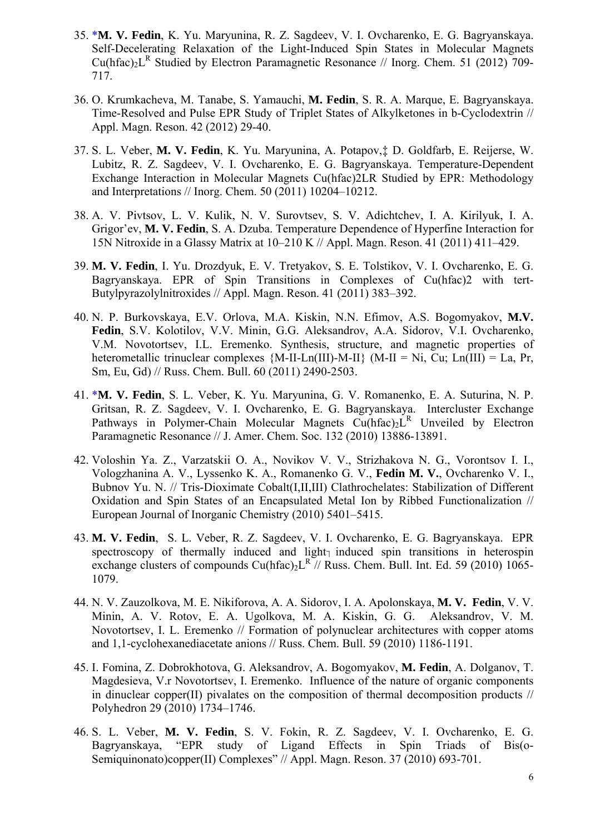- 35. \***M. V. Fedin**, K. Yu. Maryunina, R. Z. Sagdeev, V. I. Ovcharenko, E. G. Bagryanskaya. Self-Decelerating Relaxation of the Light-Induced Spin States in Molecular Magnets Cu(hfac)<sub>2</sub>L<sup>R</sup> Studied by Electron Paramagnetic Resonance // Inorg. Chem. 51 (2012) 709-717.
- 36. O. Krumkacheva, M. Tanabe, S. Yamauchi, **M. Fedin**, S. R. A. Marque, E. Bagryanskaya. Time-Resolved and Pulse EPR Study of Triplet States of Alkylketones in b-Cyclodextrin // Appl. Magn. Reson. 42 (2012) 29-40.
- 37. S. L. Veber, **M. V. Fedin**, K. Yu. Maryunina, A. Potapov,‡ D. Goldfarb, E. Reijerse, W. Lubitz, R. Z. Sagdeev, V. I. Ovcharenko, E. G. Bagryanskaya. Temperature-Dependent Exchange Interaction in Molecular Magnets Cu(hfac)2LR Studied by EPR: Methodology and Interpretations // Inorg. Chem. 50 (2011) 10204–10212.
- 38. A. V. Pivtsov, L. V. Kulik, N. V. Surovtsev, S. V. Adichtchev, I. A. Kirilyuk, I. A. Grigor'ev, **M. V. Fedin**, S. A. Dzuba. Temperature Dependence of Hyperfine Interaction for 15N Nitroxide in a Glassy Matrix at 10–210 K // Appl. Magn. Reson. 41 (2011) 411–429.
- 39. **M. V. Fedin**, I. Yu. Drozdyuk, E. V. Tretyakov, S. E. Tolstikov, V. I. Ovcharenko, E. G. Bagryanskaya. EPR of Spin Transitions in Complexes of Cu(hfac)2 with tert-Butylpyrazolylnitroxides // Appl. Magn. Reson. 41 (2011) 383–392.
- 40. N. P. Burkovskaya, E.V. Orlova, M.A. Kiskin, N.N. Efimov, A.S. Bogomyakov, **M.V. Fedin**, S.V. Kolotilov, V.V. Minin, G.G. Aleksandrov, A.A. Sidorov, V.I. Ovcharenko, V.M. Novotortsev, I.L. Eremenko. Synthesis, structure, and magnetic properties of heterometallic trinuclear complexes  ${M-II-Ln(III)-M-II}$  (M-II = Ni, Cu; Ln(III) = La, Pr, Sm, Eu, Gd) // Russ. Chem. Bull. 60 (2011) 2490-2503.
- 41. \***M. V. Fedin**, S. L. Veber, K. Yu. Maryunina, G. V. Romanenko, E. A. Suturina, N. P. Gritsan, R. Z. Sagdeev, V. I. Ovcharenko, E. G. Bagryanskaya. Intercluster Exchange Pathways in Polymer-Chain Molecular Magnets  $Cu(hfac)_2L^R$  Unveiled by Electron Paramagnetic Resonance // J. Amer. Chem. Soc. 132 (2010) 13886-13891.
- 42. Voloshin Ya. Z., Varzatskii O. A., Novikov V. V., Strizhakova N. G., Vorontsov I. I., Vologzhanina A. V., Lyssenko K. A., Romanenko G. V., **Fedin M. V.**, Ovcharenko V. I., Bubnov Yu. N. // Tris-Dioximate Cobalt(I,II,III) Clathrochelates: Stabilization of Different Oxidation and Spin States of an Encapsulated Metal Ion by Ribbed Functionalization // European Journal of Inorganic Chemistry (2010) 5401–5415.
- 43. **M. V. Fedin**, S. L. Veber, R. Z. Sagdeev, V. I. Ovcharenko, E. G. Bagryanskaya. EPR spectroscopy of thermally induced and light $<sub>1</sub>$  induced spin transitions in heterospin</sub> exchange clusters of compounds  $Cu(hfac)_{2}L^{R}//Russ$ . Chem. Bull. Int. Ed. 59 (2010) 1065-1079.
- 44. N. V. Zauzolkova, M. E. Nikiforova, A. A. Sidorov, I. A. Apolonskaya, **M. V. Fedin**, V. V. Minin, A. V. Rotov, E. A. Ugolkova, M. A. Kiskin, G. G. Aleksandrov, V. M. Novotortsev, I. L. Eremenko // Formation of polynuclear architectures with copper atoms and 1,1-cyclohexanediacetate anions // Russ. Chem. Bull. 59 (2010) 1186-1191.
- 45. I. Fomina, Z. Dobrokhotova, G. Aleksandrov, A. Bogomyakov, **M. Fedin**, A. Dolganov, T. Magdesieva, V.r Novotortsev, I. Eremenko. Influence of the nature of organic components in dinuclear copper(II) pivalates on the composition of thermal decomposition products // Polyhedron 29 (2010) 1734–1746.
- 46. S. L. Veber, **M. V. Fedin**, S. V. Fokin, R. Z. Sagdeev, V. I. Ovcharenko, E. G. Bagryanskaya, "EPR study of Ligand Effects in Spin Triads of Bis(o-Semiquinonato)copper(II) Complexes" // Appl. Magn. Reson. 37 (2010) 693-701.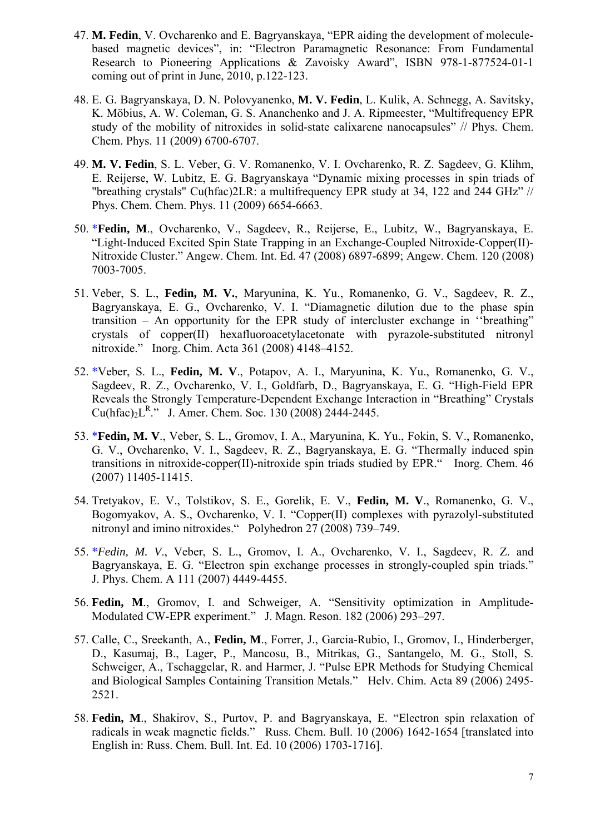- 47. **M. Fedin**, V. Ovcharenko and E. Bagryanskaya, "EPR aiding the development of moleculebased magnetic devices", in: "Electron Paramagnetic Resonance: From Fundamental Research to Pioneering Applications & Zavoisky Award", ISBN 978-1-877524-01-1 coming out of print in June, 2010, p.122-123.
- 48. E. G. Bagryanskaya, D. N. Polovyanenko, **M. V. Fedin**, L. Kulik, A. Schnegg, A. Savitsky, K. Möbius, A. W. Coleman, G. S. Ananchenko and J. A. Ripmeester, "Multifrequency EPR study of the mobility of nitroxides in solid-state calixarene nanocapsules" // Phys. Chem. Chem. Phys. 11 (2009) 6700-6707.
- 49. **M. V. Fedin**, S. L. Veber, G. V. Romanenko, V. I. Ovcharenko, R. Z. Sagdeev, G. Klihm, E. Reijerse, W. Lubitz, E. G. Bagryanskaya "Dynamic mixing processes in spin triads of "breathing crystals" Cu(hfac)2LR: a multifrequency EPR study at 34, 122 and 244 GHz" // Phys. Chem. Chem. Phys. 11 (2009) 6654-6663.
- 50. \***Fedin, M**., Ovcharenko, V., Sagdeev, R., Reijerse, E., Lubitz, W., Bagryanskaya, E. "Light-Induced Excited Spin State Trapping in an Exchange-Coupled Nitroxide-Copper(II)- Nitroxide Cluster." Angew. Chem. Int. Ed. 47 (2008) 6897-6899; Angew. Chem. 120 (2008) 7003-7005.
- 51. Veber, S. L., **Fedin, M. V.**, Maryunina, K. Yu., Romanenko, G. V., Sagdeev, R. Z., Bagryanskaya, E. G., Ovcharenko, V. I. "Diamagnetic dilution due to the phase spin transition – An opportunity for the EPR study of intercluster exchange in ''breathing" crystals of copper(II) hexafluoroacetylacetonate with pyrazole-substituted nitronyl nitroxide." Inorg. Chim. Acta 361 (2008) 4148–4152.
- 52. \*Veber, S. L., **Fedin, M. V**., Potapov, A. I., Maryunina, K. Yu., Romanenko, G. V., Sagdeev, R. Z., Ovcharenko, V. I., Goldfarb, D., Bagryanskaya, E. G. "High-Field EPR Reveals the Strongly Temperature-Dependent Exchange Interaction in "Breathing" Crystals  $Cu(hfac)<sub>2</sub>L<sup>R</sup>$ ." J. Amer. Chem. Soc. 130 (2008) 2444-2445.
- 53. \***Fedin, M. V**., Veber, S. L., Gromov, I. A., Maryunina, K. Yu., Fokin, S. V., Romanenko, G. V., Ovcharenko, V. I., Sagdeev, R. Z., Bagryanskaya, E. G. "Thermally induced spin transitions in nitroxide-copper(II)-nitroxide spin triads studied by EPR." Inorg. Chem. 46 (2007) 11405-11415.
- 54. Tretyakov, E. V., Tolstikov, S. E., Gorelik, E. V., **Fedin, M. V**., Romanenko, G. V., Bogomyakov, A. S., Ovcharenko, V. I. "Copper(II) complexes with pyrazolyl-substituted nitronyl and imino nitroxides." Polyhedron 27 (2008) 739–749.
- 55. \**Fedin, M. V*., Veber, S. L., Gromov, I. A., Ovcharenko, V. I., Sagdeev, R. Z. and Bagryanskaya, E. G. "Electron spin exchange processes in strongly-coupled spin triads." J. Phys. Chem. A 111 (2007) 4449-4455.
- 56. **Fedin, M**., Gromov, I. and Schweiger, A. "Sensitivity optimization in Amplitude-Modulated CW-EPR experiment." J. Magn. Reson. 182 (2006) 293–297.
- 57. Calle, C., Sreekanth, A., **Fedin, M**., Forrer, J., Garcia-Rubio, I., Gromov, I., Hinderberger, D., Kasumaj, B., Lager, P., Mancosu, B., Mitrikas, G., Santangelo, M. G., Stoll, S. Schweiger, A., Tschaggelar, R. and Harmer, J. "Pulse EPR Methods for Studying Chemical and Biological Samples Containing Transition Metals." Helv. Chim. Acta 89 (2006) 2495- 2521.
- 58. **Fedin, M**., Shakirov, S., Purtov, P. and Bagryanskaya, E. "Electron spin relaxation of radicals in weak magnetic fields." Russ. Chem. Bull. 10 (2006) 1642-1654 [translated into English in: Russ. Chem. Bull. Int. Ed. 10 (2006) 1703-1716].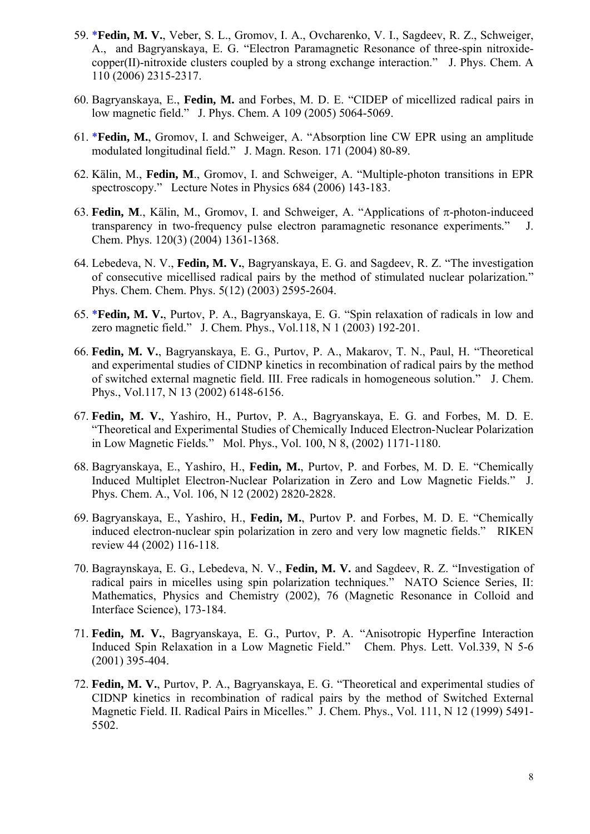- 59. \***Fedin, M. V.**, Veber, S. L., Gromov, I. A., Ovcharenko, V. I., Sagdeev, R. Z., Schweiger, A., and Bagryanskaya, E. G. "Electron Paramagnetic Resonance of three-spin nitroxidecopper(II)-nitroxide clusters coupled by a strong exchange interaction." J. Phys. Chem. A 110 (2006) 2315-2317.
- 60. Bagryanskaya, E., **Fedin, M.** and Forbes, M. D. E. "CIDEP of micellized radical pairs in low magnetic field." J. Phys. Chem. A 109 (2005) 5064-5069.
- 61. \***Fedin, M.**, Gromov, I. and Schweiger, A. "Absorption line CW EPR using an amplitude modulated longitudinal field." J. Magn. Reson. 171 (2004) 80-89.
- 62. Kälin, M., **Fedin, M**., Gromov, I. and Schweiger, A. "Multiple-photon transitions in EPR spectroscopy." Lecture Notes in Physics 684 (2006) 143-183.
- 63. **Fedin, M**., Kälin, M., Gromov, I. and Schweiger, A. "Applications of  $\pi$ -photon-induceed transparency in two-frequency pulse electron paramagnetic resonance experiments*.*" J. Chem. Phys. 120(3) (2004) 1361-1368.
- 64. Lebedeva, N. V., **Fedin, M. V.**, Bagryanskaya, E. G. and Sagdeev, R. Z. "The investigation of consecutive micellised radical pairs by the method of stimulated nuclear polarization*.*" Phys. Chem. Chem. Phys. 5(12) (2003) 2595-2604.
- 65. \***Fedin, M. V.**, Purtov, P. A., Bagryanskaya, E. G. "Spin relaxation of radicals in low and zero magnetic field." J. Chem. Phys., Vol.118, N 1 (2003) 192-201.
- 66. **Fedin, M. V.**, Bagryanskaya, E. G., Purtov, P. A., Makarov, T. N., Paul, H. "Theoretical and experimental studies of CIDNP kinetics in recombination of radical pairs by the method of switched external magnetic field. III. Free radicals in homogeneous solution." J. Chem. Phys., Vol.117, N 13 (2002) 6148-6156.
- 67. **Fedin, M. V.**, Yashiro, H., Purtov, P. A., Bagryanskaya, E. G. and Forbes, M. D. E. "Theoretical and Experimental Studies of Chemically Induced Electron-Nuclear Polarization in Low Magnetic Fields*.*" Mol. Phys., Vol. 100, N 8, (2002) 1171-1180.
- 68. Bagryanskaya, E., Yashiro, H., **Fedin, M.**, Purtov, P. and Forbes, M. D. E. "Chemically Induced Multiplet Electron-Nuclear Polarization in Zero and Low Magnetic Fields." J. Phys. Chem. A., Vol. 106, N 12 (2002) 2820-2828.
- 69. Bagryanskaya, E., Yashiro, H., **Fedin, M.**, Purtov P. and Forbes, M. D. E. "Chemically induced electron-nuclear spin polarization in zero and very low magnetic fields." RIKEN review 44 (2002) 116-118.
- 70. Bagraynskaya, E. G., Lebedeva, N. V., **Fedin, M. V.** and Sagdeev, R. Z. "Investigation of radical pairs in micelles using spin polarization techniques." NATO Science Series, II: Mathematics, Physics and Chemistry (2002), 76 (Magnetic Resonance in Colloid and Interface Science), 173-184.
- 71. **Fedin, M. V.**, Bagryanskaya, E. G., Purtov, P. A. "Anisotropic Hyperfine Interaction Induced Spin Relaxation in a Low Magnetic Field." Chem. Phys. Lett. Vol.339, N 5-6 (2001) 395-404.
- 72. **Fedin, M. V.**, Purtov, P. A., Bagryanskaya, E. G. "Theoretical and experimental studies of CIDNP kinetics in recombination of radical pairs by the method of Switched External Magnetic Field. II. Radical Pairs in Micelles." J. Chem. Phys., Vol. 111, N 12 (1999) 5491- 5502.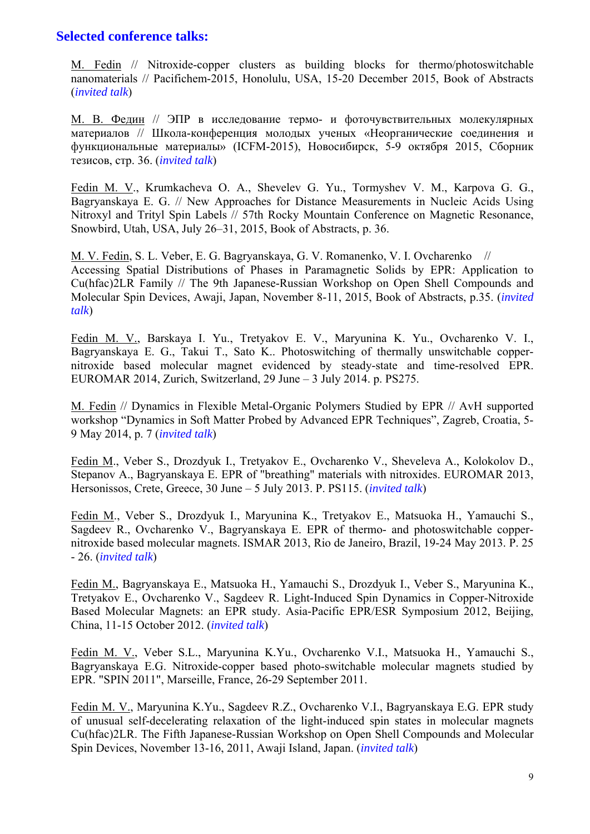#### **Selected conference talks:**

M. Fedin // Nitroxide-copper clusters as building blocks for thermo/photoswitchable nanomaterials // Pacifichem-2015, Honolulu, USA, 15-20 December 2015, Book of Abstracts (*invited talk*)

М. В. Федин // ЭПР в исследование термо- и фоточувствительных молекулярных материалов // Школа-конференция молодых ученых «Неорганические соединения и функциональные материалы» (ICFM-2015), Новосибирск, 5-9 октября 2015, Сборник тезисов, стр. 36. (*invited talk*)

Fedin M. V., Krumkacheva O. A., Shevelev G. Yu., Tormyshev V. M., Karpova G. G., Bagryanskaya E. G. // New Approaches for Distance Measurements in Nucleic Acids Using Nitroxyl and Trityl Spin Labels // 57th Rocky Mountain Conference on Magnetic Resonance, Snowbird, Utah, USA, July 26–31, 2015, Book of Abstracts, p. 36.

M. V. Fedin, S. L. Veber, E. G. Bagryanskaya, G. V. Romanenko, V. I. Ovcharenko // Accessing Spatial Distributions of Phases in Paramagnetic Solids by EPR: Application to Cu(hfac)2LR Family // The 9th Japanese-Russian Workshop on Open Shell Compounds and Molecular Spin Devices, Awaji, Japan, November 8-11, 2015, Book of Abstracts, p.35. (*invited talk*)

Fedin M. V., Barskaya I. Yu., Tretyakov E. V., Maryunina K. Yu., Ovcharenko V. I., Bagryanskaya E. G., Takui T., Sato K.. Photoswitching of thermally unswitchable coppernitroxide based molecular magnet evidenced by steady-state and time-resolved EPR. EUROMAR 2014, Zurich, Switzerland, 29 June – 3 July 2014. p. PS275.

M. Fedin // Dynamics in Flexible Metal-Organic Polymers Studied by EPR // AvH supported workshop "Dynamics in Soft Matter Probed by Advanced EPR Techniques", Zagreb, Croatia, 5- 9 May 2014, p. 7 (*invited talk*)

Fedin M., Veber S., Drozdyuk I., Tretyakov E., Ovcharenko V., Sheveleva A., Kolokolov D., Stepanov A., Bagryanskaya E. EPR of "breathing" materials with nitroxides. EUROMAR 2013, Hersonissos, Crete, Greece, 30 June – 5 July 2013. P. PS115. (*invited talk*)

Fedin M., Veber S., Drozdyuk I., Maryunina K., Tretyakov E., Matsuoka H., Yamauchi S., Sagdeev R., Ovcharenko V., Bagryanskaya E. EPR of thermo- and photoswitchable coppernitroxide based molecular magnets. ISMAR 2013, Rio de Janeiro, Brazil, 19-24 May 2013. P. 25 - 26. (*invited talk*)

Fedin M., Bagryanskaya E., Matsuoka H., Yamauchi S., Drozdyuk I., Veber S., Maryunina K., Tretyakov E., Ovcharenko V., Sagdeev R. Light-Induced Spin Dynamics in Copper-Nitroxide Based Molecular Magnets: an EPR study. Asia-Pacific EPR/ESR Symposium 2012, Beijing, China, 11-15 October 2012. (*invited talk*)

Fedin M. V., Veber S.L., Maryunina K.Yu., Ovcharenko V.I., Matsuoka H., Yamauchi S., Bagryanskaya E.G. Nitroxide-copper based photo-switchable molecular magnets studied by EPR. "SPIN 2011", Marseille, France, 26-29 September 2011.

Fedin M. V., Maryunina K.Yu., Sagdeev R.Z., Ovcharenko V.I., Bagryanskaya E.G. EPR study of unusual self-decelerating relaxation of the light-induced spin states in molecular magnets Cu(hfac)2LR. The Fifth Japanese-Russian Workshop on Open Shell Compounds and Molecular Spin Devices, November 13-16, 2011, Awaji Island, Japan. (*invited talk*)